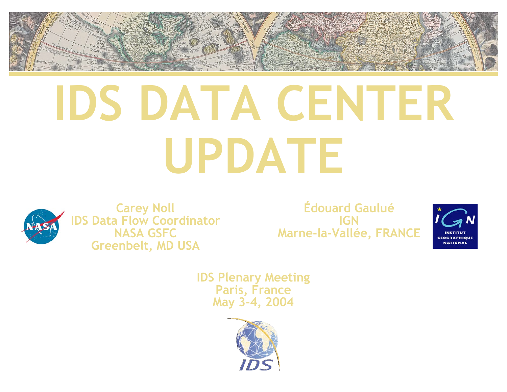

# **IDS DATA CENTER UPDATE**



**Carey Noll IDS Data Flow Coordinator NASA GSFC Greenbelt, MD USA**

**Édouard Gaulué IGN Marne-la-Vallée, FRANCE**



**IDS Plenary Meeting Paris, France May 3-4, 2004**

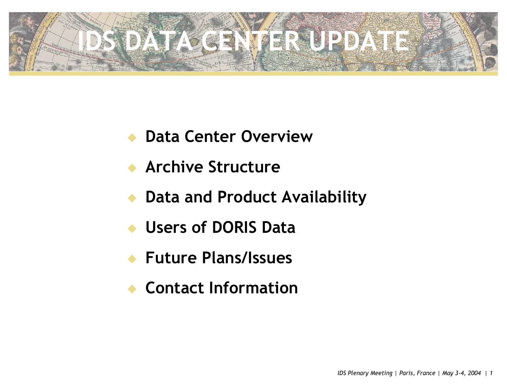

- **Data Center Overview**
- **Archive Structure**
- **Data and Product Availability**
- u **Users of DORIS Data**
- u **Future Plans/Issues**
- **Contact Information**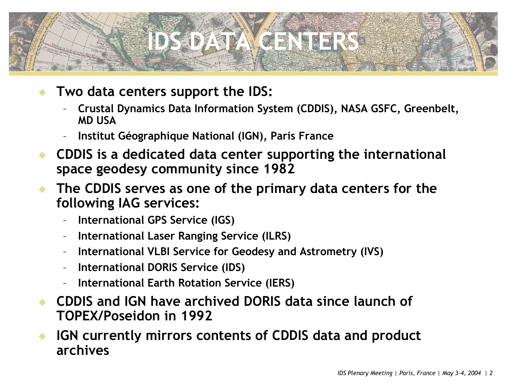### **IDS DATA CENTERS**

- Two data centers support the IDS:
	- **Crustal Dynamics Data Information System (CDDIS), NASA GSFC, Greenbelt, MD USA**
	- **Institut Géographique National (IGN), Paris France**
- u **CDDIS is a dedicated data center supporting the international space geodesy community since 1982**
- u **The CDDIS serves as one of the primary data centers for the following IAG services:**
	- **International GPS Service (IGS)**
	- **International Laser Ranging Service (ILRS)**
	- **International VLBI Service for Geodesy and Astrometry (IVS)**
	- **International DORIS Service (IDS)**
	- **International Earth Rotation Service (IERS)**
- u **CDDIS and IGN have archived DORIS data since launch of TOPEX/Poseidon in 1992**

**IGN currently mirrors contents of CDDIS data and product archives**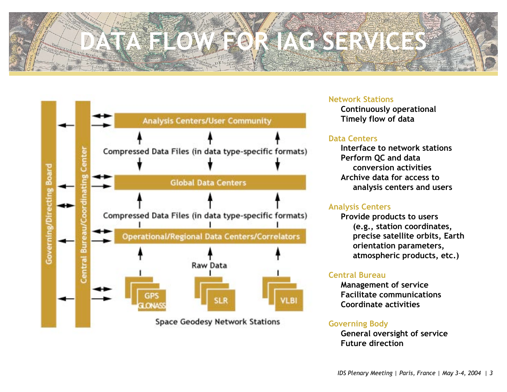# **DATA FLOW FOR IAG SERVICES**



#### **Network Stations**

**Continuously operational Timely flow of data**

#### **Data Centers**

**Interface to network stations Perform QC and data conversion activities Archive data for access to analysis centers and users** 

#### **Analysis Centers**

**Provide products to users (e.g., station coordinates, precise satellite orbits, Earth orientation parameters, atmospheric products, etc.)**

#### **Central Bureau**

**Management of service Facilitate communications Coordinate activities**

#### **Governing Body**

**General oversight of service Future direction**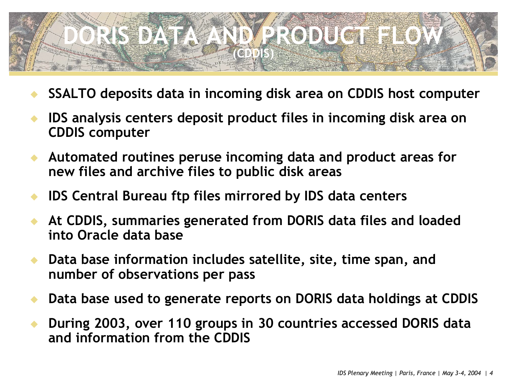### **DRISHING ATANDAR RODUCTE FLOW (CDDIS)**

- u **SSALTO deposits data in incoming disk area on CDDIS host computer**
- u **IDS analysis centers deposit product files in incoming disk area on CDDIS computer**
- u **Automated routines peruse incoming data and product areas for new files and archive files to public disk areas**
- **IDS Central Bureau ftp files mirrored by IDS data centers**
- u **At CDDIS, summaries generated from DORIS data files and loaded into Oracle data base**
- Data base information includes satellite, site, time span, and **number of observations per pass**
- u **Data base used to generate reports on DORIS data holdings at CDDIS**
- u **During 2003, over 110 groups in 30 countries accessed DORIS data and information from the CDDIS**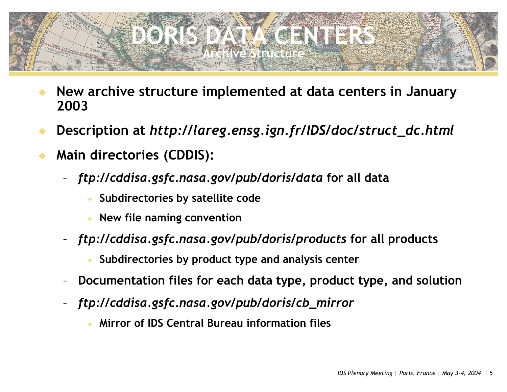

- u **New archive structure implemented at data centers in January 2003**
- u **Description at** *http://lareg.ensg.ign.fr/IDS/doc/struct\_dc.html*
- **Main directories (CDDIS):** 
	- *ftp://cddisa.gsfc.nasa.gov/pub/doris/data* **for all data**
		- Subdirectories by satellite code
		- **New file naming convention**
	- *ftp://cddisa.gsfc.nasa.gov/pub/doris/products* **for all products**
		- Subdirectories by product type and analysis center
	- **Documentation files for each data type, product type, and solution**
	- *ftp://cddisa.gsfc.nasa.gov/pub/doris/cb\_mirror*
		- **Mirror of IDS Central Bureau information files**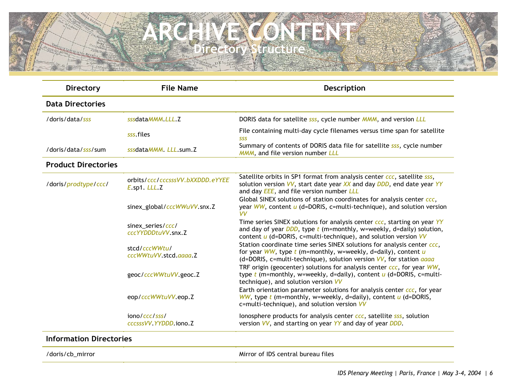#### **ARCHIVE CONTENT Directory Structure**

| <b>Directory</b>           | <b>File Name</b>                                 | Description                                                                                                                                                                                                                  |  |  |  |
|----------------------------|--------------------------------------------------|------------------------------------------------------------------------------------------------------------------------------------------------------------------------------------------------------------------------------|--|--|--|
| <b>Data Directories</b>    |                                                  |                                                                                                                                                                                                                              |  |  |  |
| /doris/data/sss            | sssdataMMM, LLL, Z                               | DORIS data for satellite sss, cycle number MMM, and version LLL                                                                                                                                                              |  |  |  |
|                            | sss files                                        | File containing multi-day cycle filenames versus time span for satellite<br><b>SSS</b>                                                                                                                                       |  |  |  |
| /doris/data/sss/sum        | sssdataMMM, LLL.sum.Z                            | Summary of contents of DORIS data file for satellite sss, cycle number<br>MMM, and file version number LLL                                                                                                                   |  |  |  |
| <b>Product Directories</b> |                                                  |                                                                                                                                                                                                                              |  |  |  |
| /doris/prodtype/ccc/       | orbits/ccc/cccsssVV.bXXDDD.eYYEE<br>E.sp1. LLL.Z | Satellite orbits in SP1 format from analysis center ccc, satellite sss,<br>solution version VV, start date year XX and day DDD, end date year YY<br>and day <b>EEE</b> , and file version number LLL                         |  |  |  |
|                            | sinex_global/cccWWuVV.snx.Z                      | Global SINEX solutions of station coordinates for analysis center ccc,<br>year $WW$ , content $u$ (d=DORIS, c=multi-technique), and solution version<br><b>VV</b>                                                            |  |  |  |
|                            | sinex_series/ccc/<br>cccYYDDDtuVV.snx.Z          | Time series SINEX solutions for analysis center ccc, starting on year YY<br>and day of year $DDD$ , type $t$ (m=monthly, w=weekly, d=daily) solution,<br>content $u$ (d=DORIS, c=multi-technique), and solution version $VV$ |  |  |  |
|                            | stcd/cccWWtu/<br>cccWWtuVV.stcd.aaaa.Z           | Station coordinate time series SINEX solutions for analysis center ccc,<br>for year WW, type $t$ (m=monthly, w=weekly, d=daily), content $u$<br>(d=DORIS, c=multi-technique), solution version VV, for station <i>aaaa</i>   |  |  |  |
|                            | geoc/cccWWtuVV.geoc.Z                            | TRF origin (geocenter) solutions for analysis center ccc, for year WW,<br>type $t$ (m=monthly, w=weekly, d=daily), content $u$ (d=DORIS, c=multi-<br>technique), and solution version VV                                     |  |  |  |
|                            | eop/cccWWtuVV.eop.Z                              | Earth orientation parameter solutions for analysis center ccc, for year<br>WW, type $t$ (m=monthly, w=weekly, d=daily), content $u$ (d=DORIS,<br>c=multi-technique), and solution version VV                                 |  |  |  |
|                            | iono/ccc/sss/<br>cccsssVV.YYDDD.iono.Z           | lonosphere products for analysis center ccc, satellite sss, solution<br>version VV, and starting on year YY and day of year DDD.                                                                                             |  |  |  |

#### **Information Directories**

/doris/cb\_mirror Mirror of IDS central bureau files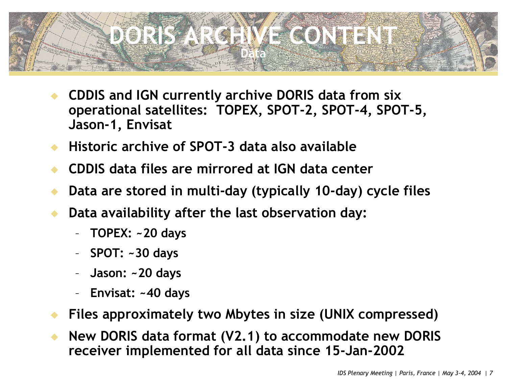### **DORIGANIE IVE CONTENT Data**

- **CDDIS and IGN currently archive DORIS data from six operational satellites: TOPEX, SPOT-2, SPOT-4, SPOT-5, Jason-1, Envisat**
- u **Historic archive of SPOT-3 data also available**
- u **CDDIS data files are mirrored at IGN data center**
- Data are stored in multi-day (typically 10-day) cycle files
- Data availability after the last observation day:
	- **TOPEX: ~20 days**
	- **SPOT: ~30 days**
	- **Jason: ~20 days**
	- **Envisat: ~40 days**
- Files approximately two Mbytes in size (UNIX compressed)
- u **New DORIS data format (V2.1) to accommodate new DORIS receiver implemented for all data since 15-Jan-2002**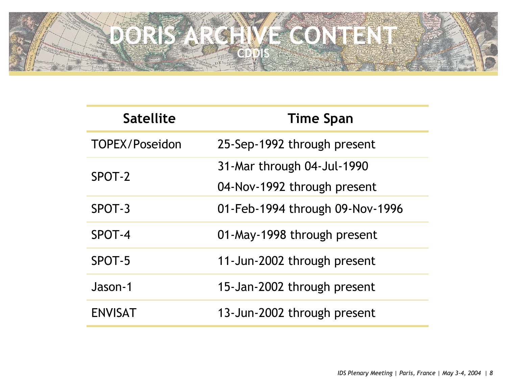### **DORIS ARCHIVE CONTENT CDDIS**

| <b>Satellite</b>      | <b>Time Span</b>                |  |  |  |
|-----------------------|---------------------------------|--|--|--|
| <b>TOPEX/Poseidon</b> | 25-Sep-1992 through present     |  |  |  |
| SPOT-2                | 31-Mar through 04-Jul-1990      |  |  |  |
|                       | 04-Nov-1992 through present     |  |  |  |
| SPOT-3                | 01-Feb-1994 through 09-Nov-1996 |  |  |  |
| SPOT-4                | 01-May-1998 through present     |  |  |  |
| SPOT-5                | 11-Jun-2002 through present     |  |  |  |
| Jason-1               | 15-Jan-2002 through present     |  |  |  |
| <b>ENVISAT</b>        | 13-Jun-2002 through present     |  |  |  |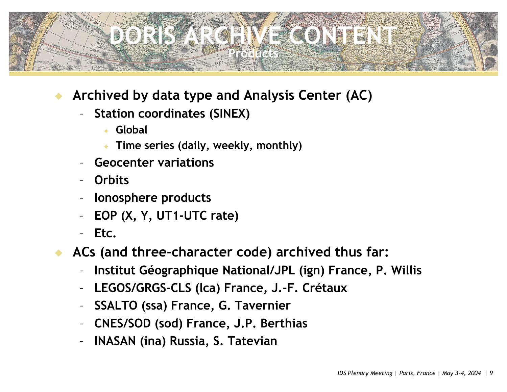### **DORIGANIE NE CONTENT Preductes**

- Archived by data type and Analysis Center (AC)
	- **Station coordinates (SINEX)**
		- <sup>F</sup> **Global**
		- Time series (daily, weekly, monthly)
	- **Geocenter variations**
	- **Orbits**
	- **Ionosphere products**
	- **EOP (X, Y, UT1-UTC rate)**
	- **Etc.**
- ACs (and three-character code) archived thus far:
	- **Institut Géographique National/JPL (ign) France, P. Willis**
	- **LEGOS/GRGS-CLS (lca) France, J.-F. Crétaux**
	- **SSALTO (ssa) France, G. Tavernier**
	- **CNES/SOD (sod) France, J.P. Berthias**
	- **INASAN (ina) Russia, S. Tatevian**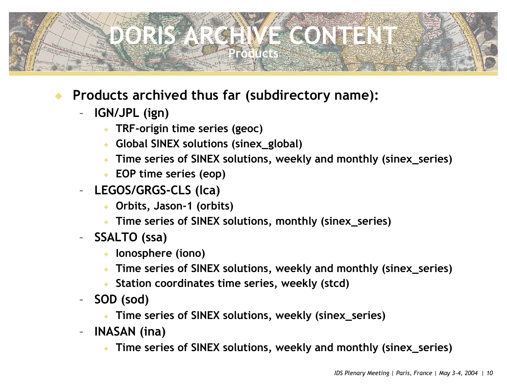### **DORIGANIE IVE CONTENT Preductes**

- Products archived thus far (subdirectory name):
	- **IGN/JPL (ign)**
		- <sup>F</sup> **TRF-origin time series (geoc)**
		- <sup>F</sup> **Global SINEX solutions (sinex\_global)**
		- ← Time series of SINEX solutions, weekly and monthly (sinex\_series)
		- ← EOP time series (eop)
	- **LEGOS/GRGS-CLS (lca)**
		- <sup>F</sup> **Orbits, Jason-1 (orbits)**
		- <sup>F</sup> **Time series of SINEX solutions, monthly (sinex\_series)**
	- **SSALTO (ssa)**
		- ← lonosphere (iono)
		- ← Time series of SINEX solutions, weekly and monthly (sinex\_series)
		- <sup>F</sup> **Station coordinates time series, weekly (stcd)**
	- **SOD (sod)**
		- Fime series of SINEX solutions, weekly (sinex\_series)
	- **INASAN (ina)**
		- ← Time series of SINEX solutions, weekly and monthly (sinex\_series)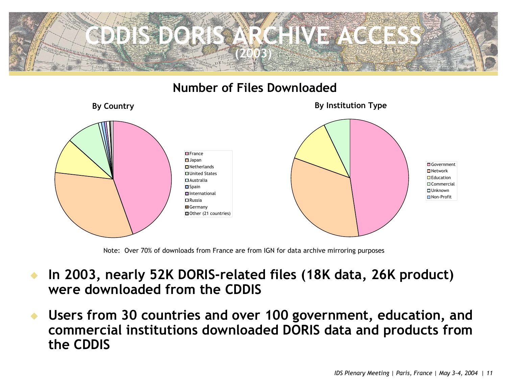

#### **Number of Files Downloaded**



Note: Over 70% of downloads from France are from IGN for data archive mirroring purposes

- In 2003, nearly 52K DORIS-related files (18K data, 26K product) **were downloaded from the CDDIS**
- u **Users from 30 countries and over 100 government, education, and commercial institutions downloaded DORIS data and products from the CDDIS**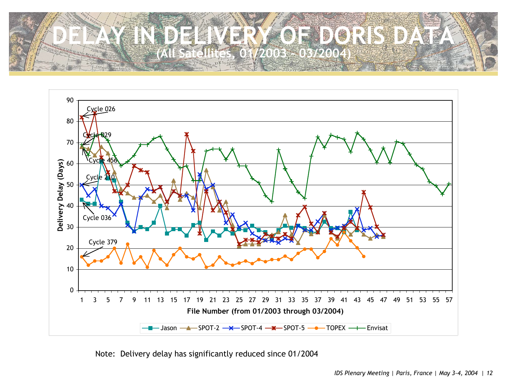



Note: Delivery delay has significantly reduced since 01/2004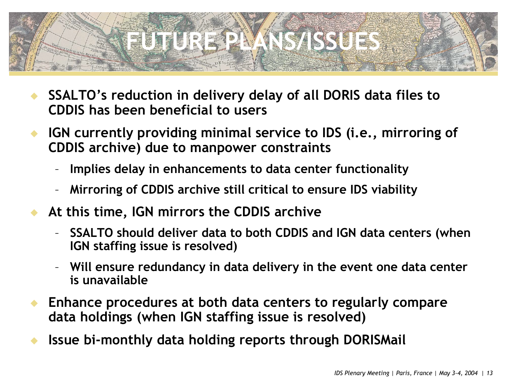# **FUTURE PLANS/ISSUES**

- u **SSALTO's reduction in delivery delay of all DORIS data files to CDDIS has been beneficial to users**
- ◆ IGN currently providing minimal service to IDS (i.e., mirroring of **CDDIS archive) due to manpower constraints**
	- **Implies delay in enhancements to data center functionality**
	- **Mirroring of CDDIS archive still critical to ensure IDS viability**
- At this time, IGN mirrors the CDDIS archive
	- **SSALTO should deliver data to both CDDIS and IGN data centers (when IGN staffing issue is resolved)**
	- **Will ensure redundancy in data delivery in the event one data center is unavailable**
- u **Enhance procedures at both data centers to regularly compare data holdings (when IGN staffing issue is resolved)**
- **Issue bi-monthly data holding reports through DORISMail**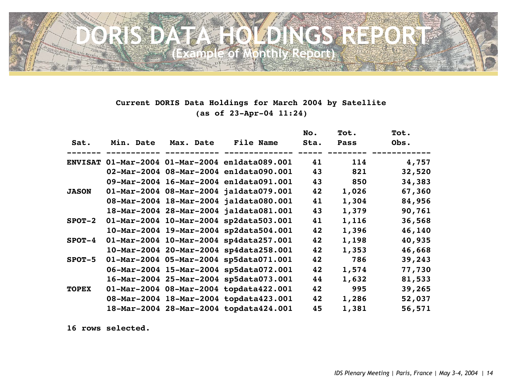

#### **Current DORIS Data Holdings for March 2004 by Satellite (as of 23-Apr-04 11:24)**

|                |           | Max. Date | <b>File Name</b>                       | No.<br>Sta. | Tot.<br><b>Pass</b> | Tot.<br>Obs. |
|----------------|-----------|-----------|----------------------------------------|-------------|---------------------|--------------|
| Sat.           | Min. Date |           |                                        |             |                     |              |
| <b>ENVISAT</b> |           |           | 01-Mar-2004 01-Mar-2004 enldata089.001 | 41          | 114                 | 4,757        |
|                |           |           | 02-Mar-2004 08-Mar-2004 enldata090.001 | 43          | 821                 | 32,520       |
|                |           |           | 09-Mar-2004 16-Mar-2004 enldata091.001 | 43          | 850                 | 34,383       |
| <b>JASON</b>   |           |           | 01-Mar-2004 08-Mar-2004 jaldata079.001 | 42          | 1,026               | 67,360       |
|                |           |           | 08-Mar-2004 18-Mar-2004 jaldata080.001 | 41          | 1,304               | 84,956       |
|                |           |           | 18-Mar-2004 28-Mar-2004 jaldata081.001 | 43          | 1,379               | 90,761       |
| $SPOT-2$       |           |           | 01-Mar-2004 10-Mar-2004 sp2data503.001 | 41          | 1,116               | 36,568       |
|                |           |           | 10-Mar-2004 19-Mar-2004 sp2data504.001 | 42          | 1,396               | 46,140       |
| $SPOT-4$       |           |           | 01-Mar-2004 10-Mar-2004 sp4data257.001 | 42          | 1,198               | 40,935       |
|                |           |           | 10-Mar-2004 20-Mar-2004 sp4data258.001 | 42          | 1,353               | 46,668       |
| $SPOT-5$       |           |           | 01-Mar-2004 05-Mar-2004 sp5data071.001 | 42          | 786                 | 39,243       |
|                |           |           | 06-Mar-2004 15-Mar-2004 sp5data072.001 | 42          | 1,574               | 77,730       |
|                |           |           | 16-Mar-2004 25-Mar-2004 sp5data073.001 | 44          | 1,632               | 81,533       |
| <b>TOPEX</b>   |           |           | 01-Mar-2004 08-Mar-2004 topdata422.001 | 42          | 995                 | 39,265       |
|                |           |           | 08-Mar-2004 18-Mar-2004 topdata423.001 | 42          | 1,286               | 52,037       |
|                |           |           | 18-Mar-2004 28-Mar-2004 topdata424.001 | 45          | 1,381               | 56,571       |

**16 rows selected.**